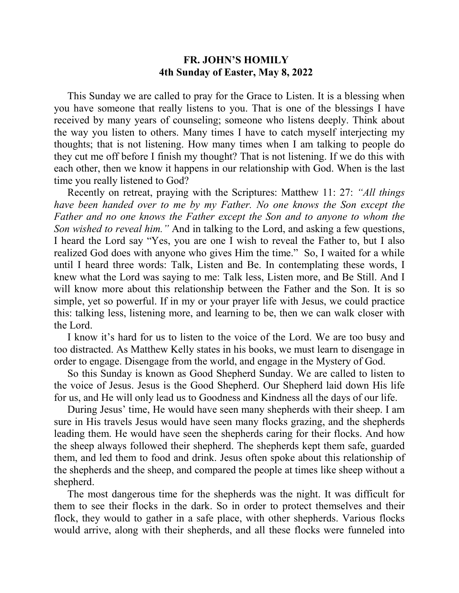## **FR. JOHN'S HOMILY 4th Sunday of Easter, May 8, 2022**

 This Sunday we are called to pray for the Grace to Listen. It is a blessing when you have someone that really listens to you. That is one of the blessings I have received by many years of counseling; someone who listens deeply. Think about the way you listen to others. Many times I have to catch myself interjecting my thoughts; that is not listening. How many times when I am talking to people do they cut me off before I finish my thought? That is not listening. If we do this with each other, then we know it happens in our relationship with God. When is the last time you really listened to God?

 Recently on retreat, praying with the Scriptures: Matthew 11: 27: *"All things have been handed over to me by my Father. No one knows the Son except the Father and no one knows the Father except the Son and to anyone to whom the Son wished to reveal him."* And in talking to the Lord, and asking a few questions, I heard the Lord say "Yes, you are one I wish to reveal the Father to, but I also realized God does with anyone who gives Him the time." So, I waited for a while until I heard three words: Talk, Listen and Be. In contemplating these words, I knew what the Lord was saying to me: Talk less, Listen more, and Be Still. And I will know more about this relationship between the Father and the Son. It is so simple, yet so powerful. If in my or your prayer life with Jesus, we could practice this: talking less, listening more, and learning to be, then we can walk closer with the Lord.

 I know it's hard for us to listen to the voice of the Lord. We are too busy and too distracted. As Matthew Kelly states in his books, we must learn to disengage in order to engage. Disengage from the world, and engage in the Mystery of God.

 So this Sunday is known as Good Shepherd Sunday. We are called to listen to the voice of Jesus. Jesus is the Good Shepherd. Our Shepherd laid down His life for us, and He will only lead us to Goodness and Kindness all the days of our life.

 During Jesus' time, He would have seen many shepherds with their sheep. I am sure in His travels Jesus would have seen many flocks grazing, and the shepherds leading them. He would have seen the shepherds caring for their flocks. And how the sheep always followed their shepherd. The shepherds kept them safe, guarded them, and led them to food and drink. Jesus often spoke about this relationship of the shepherds and the sheep, and compared the people at times like sheep without a shepherd.

 The most dangerous time for the shepherds was the night. It was difficult for them to see their flocks in the dark. So in order to protect themselves and their flock, they would to gather in a safe place, with other shepherds. Various flocks would arrive, along with their shepherds, and all these flocks were funneled into